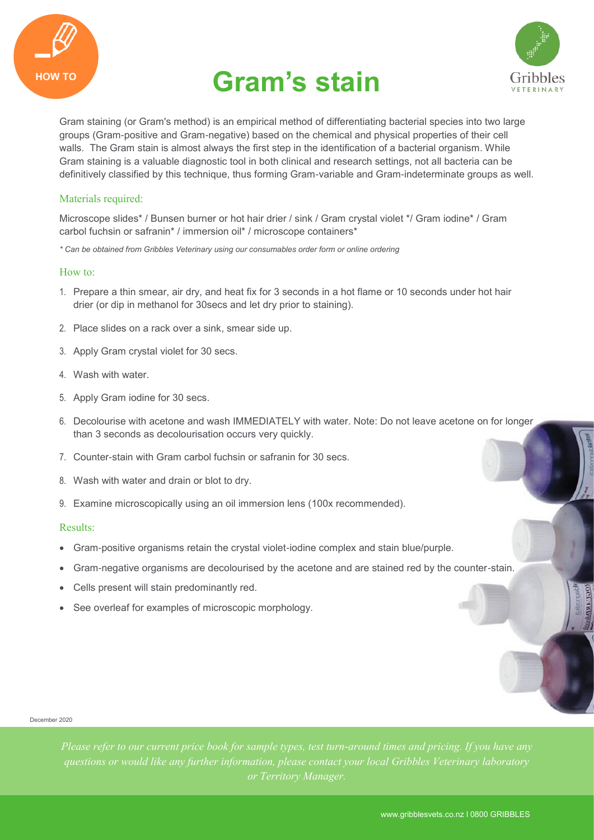

# HOW TO **Gram's stain**



**MORANTO** 

Gram staining (or Gram's method) is an empirical method of differentiating bacterial species into two large groups (Gram-positive and Gram-negative) based on the chemical and physical properties of their cell walls. The Gram stain is almost always the first step in the identification of a bacterial organism. While Gram staining is a valuable diagnostic tool in both clinical and research settings, not all bacteria can be definitively classified by this technique, thus forming Gram-variable and Gram-indeterminate groups as well.

## Materials required:

Microscope slides\* / Bunsen burner or hot hair drier / sink / Gram crystal violet \*/ Gram iodine\* / Gram carbol fuchsin or safranin\* / immersion oil\* / microscope containers\*

*\* Can be obtained from Gribbles Veterinary using our consumables order form or online ordering*

#### How to:

- 1. Prepare a thin smear, air dry, and heat fix for 3 seconds in a hot flame or 10 seconds under hot hair drier (or dip in methanol for 30secs and let dry prior to staining).
- 2. Place slides on a rack over a sink, smear side up.
- 3. Apply Gram crystal violet for 30 secs.
- 4. Wash with water.
- 5. Apply Gram iodine for 30 secs.
- 6. Decolourise with acetone and wash IMMEDIATELY with water. Note: Do not leave acetone on for longer than 3 seconds as decolourisation occurs very quickly.
- 7. Counter-stain with Gram carbol fuchsin or safranin for 30 secs.
- 8. Wash with water and drain or blot to dry.
- 9. Examine microscopically using an oil immersion lens (100x recommended).

### Results:

- Gram-positive organisms retain the crystal violet-iodine complex and stain blue/purple.
- Gram-negative organisms are decolourised by the acetone and are stained red by the counter-stain.
- Cells present will stain predominantly red.
- See overleaf for examples of microscopic morphology.

#### December 2020